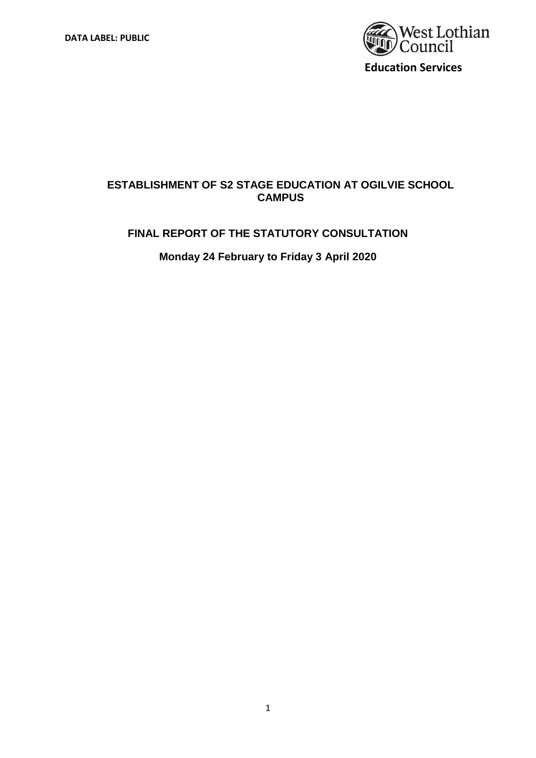

## **ESTABLISHMENT OF S2 STAGE EDUCATION AT OGILVIE SCHOOL CAMPUS**

### **FINAL REPORT OF THE STATUTORY CONSULTATION**

**Monday 24 February to Friday 3 April 2020**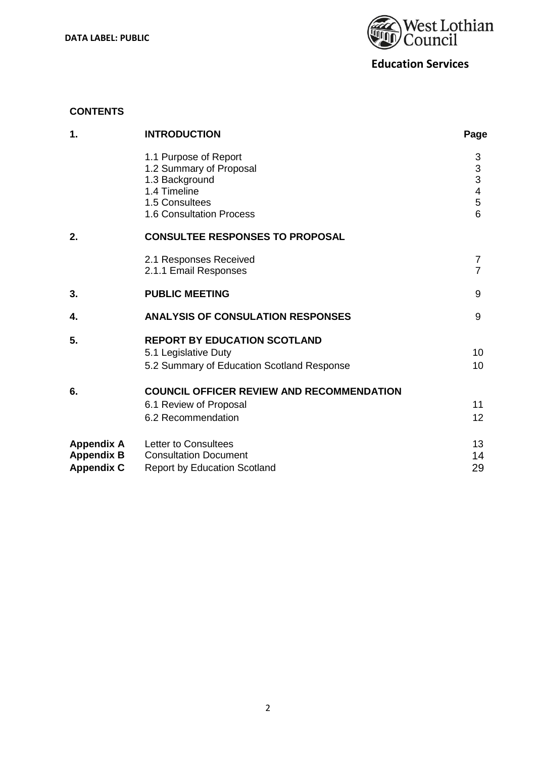**DATA LABEL: PUBLIC** 



**Education Services**

### **CONTENTS**

| 1.                                                          | <b>INTRODUCTION</b>                                                                                                                     | Page                                          |
|-------------------------------------------------------------|-----------------------------------------------------------------------------------------------------------------------------------------|-----------------------------------------------|
|                                                             | 1.1 Purpose of Report<br>1.2 Summary of Proposal<br>1.3 Background<br>1.4 Timeline<br>1.5 Consultees<br><b>1.6 Consultation Process</b> | 3<br>$\mathsf 3$<br>3<br>4<br>$\sqrt{5}$<br>6 |
| 2.                                                          | <b>CONSULTEE RESPONSES TO PROPOSAL</b>                                                                                                  |                                               |
|                                                             | 2.1 Responses Received<br>2.1.1 Email Responses                                                                                         | 7<br>$\overline{7}$                           |
| 3.                                                          | <b>PUBLIC MEETING</b>                                                                                                                   | 9                                             |
| 4.                                                          | <b>ANALYSIS OF CONSULATION RESPONSES</b>                                                                                                | 9                                             |
| 5.                                                          | <b>REPORT BY EDUCATION SCOTLAND</b><br>5.1 Legislative Duty<br>5.2 Summary of Education Scotland Response                               | 10<br>10                                      |
| 6.                                                          | <b>COUNCIL OFFICER REVIEW AND RECOMMENDATION</b>                                                                                        |                                               |
|                                                             | 6.1 Review of Proposal<br>6.2 Recommendation                                                                                            | 11<br>12                                      |
| <b>Appendix A</b><br><b>Appendix B</b><br><b>Appendix C</b> | Letter to Consultees<br><b>Consultation Document</b><br><b>Report by Education Scotland</b>                                             | 13<br>14<br>29                                |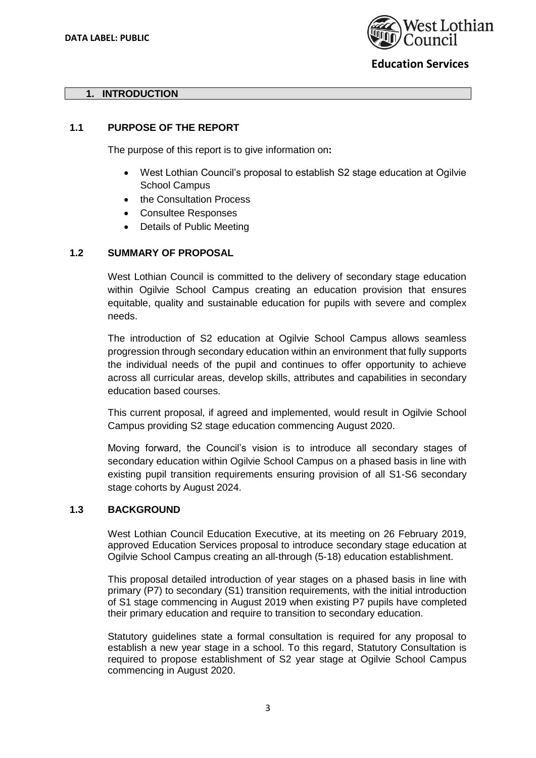

### **1. INTRODUCTION**

### **1.1 PURPOSE OF THE REPORT**

The purpose of this report is to give information on**:**

- West Lothian Council's proposal to establish S2 stage education at Ogilvie School Campus
- the Consultation Process
- Consultee Responses
- Details of Public Meeting

### **1.2 SUMMARY OF PROPOSAL**

West Lothian Council is committed to the delivery of secondary stage education within Ogilvie School Campus creating an education provision that ensures equitable, quality and sustainable education for pupils with severe and complex needs.

The introduction of S2 education at Ogilvie School Campus allows seamless progression through secondary education within an environment that fully supports the individual needs of the pupil and continues to offer opportunity to achieve across all curricular areas, develop skills, attributes and capabilities in secondary education based courses.

This current proposal, if agreed and implemented, would result in Ogilvie School Campus providing S2 stage education commencing August 2020.

Moving forward, the Council's vision is to introduce all secondary stages of secondary education within Ogilvie School Campus on a phased basis in line with existing pupil transition requirements ensuring provision of all S1-S6 secondary stage cohorts by August 2024.

### **1.3 BACKGROUND**

West Lothian Council Education Executive, at its meeting on 26 February 2019, approved Education Services proposal to introduce secondary stage education at Ogilvie School Campus creating an all-through (5-18) education establishment.

This proposal detailed introduction of year stages on a phased basis in line with primary (P7) to secondary (S1) transition requirements, with the initial introduction of S1 stage commencing in August 2019 when existing P7 pupils have completed their primary education and require to transition to secondary education.

Statutory guidelines state a formal consultation is required for any proposal to establish a new year stage in a school. To this regard, Statutory Consultation is required to propose establishment of S2 year stage at Ogilvie School Campus commencing in August 2020.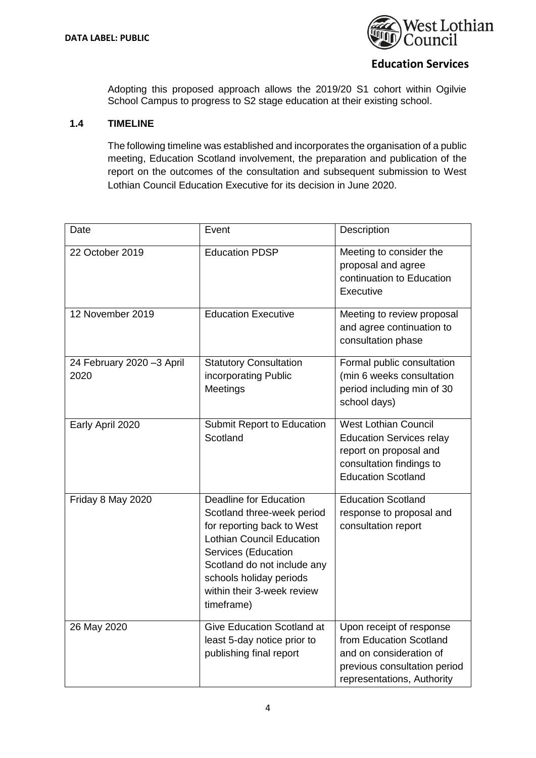

Adopting this proposed approach allows the 2019/20 S1 cohort within Ogilvie School Campus to progress to S2 stage education at their existing school.

### **1.4 TIMELINE**

The following timeline was established and incorporates the organisation of a public meeting, Education Scotland involvement, the preparation and publication of the report on the outcomes of the consultation and subsequent submission to West Lothian Council Education Executive for its decision in June 2020.

| Date                              | Event                                                                                                                                                                                                                                                      | Description                                                                                                                                       |
|-----------------------------------|------------------------------------------------------------------------------------------------------------------------------------------------------------------------------------------------------------------------------------------------------------|---------------------------------------------------------------------------------------------------------------------------------------------------|
| 22 October 2019                   | <b>Education PDSP</b>                                                                                                                                                                                                                                      | Meeting to consider the<br>proposal and agree<br>continuation to Education<br>Executive                                                           |
| 12 November 2019                  | <b>Education Executive</b>                                                                                                                                                                                                                                 | Meeting to review proposal<br>and agree continuation to<br>consultation phase                                                                     |
| 24 February 2020 -3 April<br>2020 | <b>Statutory Consultation</b><br>incorporating Public<br>Meetings                                                                                                                                                                                          | Formal public consultation<br>(min 6 weeks consultation<br>period including min of 30<br>school days)                                             |
| Early April 2020                  | Submit Report to Education<br>Scotland                                                                                                                                                                                                                     | <b>West Lothian Council</b><br><b>Education Services relay</b><br>report on proposal and<br>consultation findings to<br><b>Education Scotland</b> |
| Friday 8 May 2020                 | <b>Deadline for Education</b><br>Scotland three-week period<br>for reporting back to West<br><b>Lothian Council Education</b><br>Services (Education<br>Scotland do not include any<br>schools holiday periods<br>within their 3-week review<br>timeframe) | <b>Education Scotland</b><br>response to proposal and<br>consultation report                                                                      |
| 26 May 2020                       | <b>Give Education Scotland at</b><br>least 5-day notice prior to<br>publishing final report                                                                                                                                                                | Upon receipt of response<br>from Education Scotland<br>and on consideration of<br>previous consultation period<br>representations, Authority      |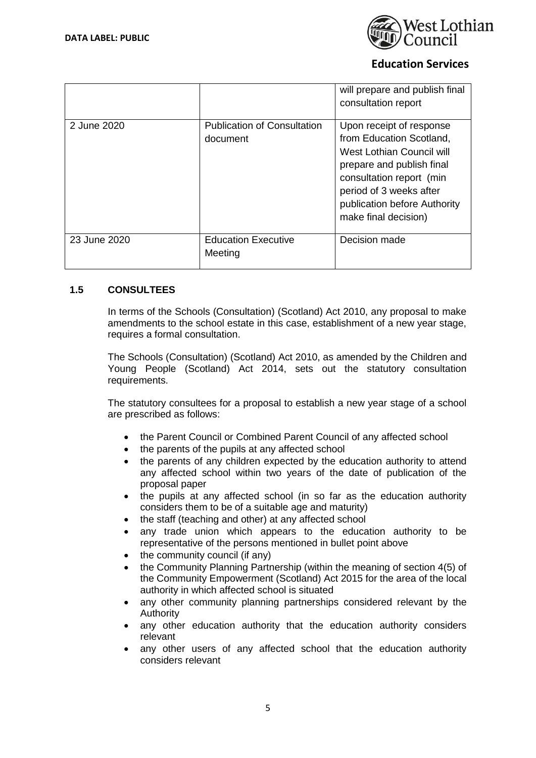

|              |                                                | will prepare and publish final<br>consultation report                                                                                                                                                                         |
|--------------|------------------------------------------------|-------------------------------------------------------------------------------------------------------------------------------------------------------------------------------------------------------------------------------|
| 2 June 2020  | <b>Publication of Consultation</b><br>document | Upon receipt of response<br>from Education Scotland,<br>West Lothian Council will<br>prepare and publish final<br>consultation report (min<br>period of 3 weeks after<br>publication before Authority<br>make final decision) |
| 23 June 2020 | <b>Education Executive</b><br>Meeting          | Decision made                                                                                                                                                                                                                 |

### **1.5 CONSULTEES**

In terms of the Schools (Consultation) (Scotland) Act 2010, any proposal to make amendments to the school estate in this case, establishment of a new year stage, requires a formal consultation.

The Schools (Consultation) (Scotland) Act 2010, as amended by the Children and Young People (Scotland) Act 2014, sets out the statutory consultation requirements.

The statutory consultees for a proposal to establish a new year stage of a school are prescribed as follows:

- the Parent Council or Combined Parent Council of any affected school
- the parents of the pupils at any affected school
- the parents of any children expected by the education authority to attend any affected school within two years of the date of publication of the proposal paper
- the pupils at any affected school (in so far as the education authority considers them to be of a suitable age and maturity)
- the staff (teaching and other) at any affected school
- any trade union which appears to the education authority to be representative of the persons mentioned in bullet point above
- the community council (if any)
- the Community Planning Partnership (within the meaning of section 4(5) of the Community Empowerment (Scotland) Act 2015 for the area of the local authority in which affected school is situated
- any other community planning partnerships considered relevant by the Authority
- any other education authority that the education authority considers relevant
- any other users of any affected school that the education authority considers relevant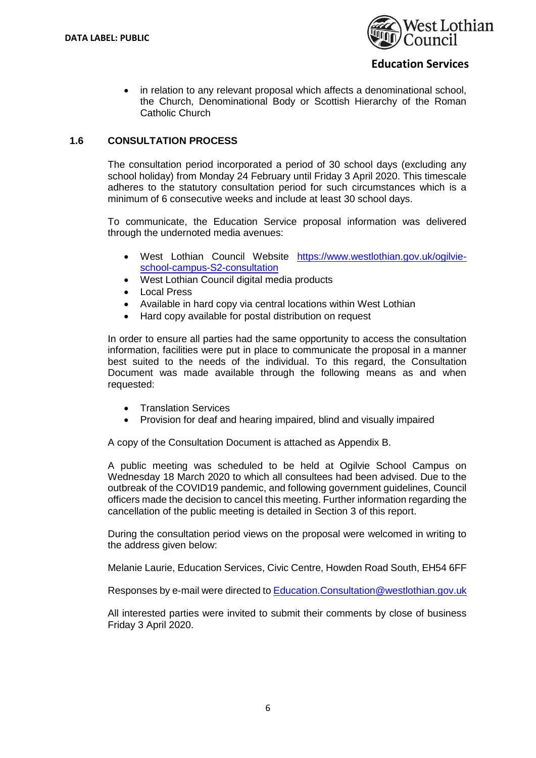

• in relation to any relevant proposal which affects a denominational school, the Church, Denominational Body or Scottish Hierarchy of the Roman Catholic Church

### **1.6 CONSULTATION PROCESS**

The consultation period incorporated a period of 30 school days (excluding any school holiday) from Monday 24 February until Friday 3 April 2020. This timescale adheres to the statutory consultation period for such circumstances which is a minimum of 6 consecutive weeks and include at least 30 school days.

To communicate, the Education Service proposal information was delivered through the undernoted media avenues:

- West Lothian Council Website [https://www.westlothian.gov.uk/ogilvie](https://www.westlothian.gov.uk/ogilvie-school-campus-S2-consultation)[school-campus-S2-consultation](https://www.westlothian.gov.uk/ogilvie-school-campus-S2-consultation)
- West Lothian Council digital media products
- Local Press
- Available in hard copy via central locations within West Lothian
- Hard copy available for postal distribution on request

In order to ensure all parties had the same opportunity to access the consultation information, facilities were put in place to communicate the proposal in a manner best suited to the needs of the individual. To this regard, the Consultation Document was made available through the following means as and when requested:

- Translation Services
- Provision for deaf and hearing impaired, blind and visually impaired

A copy of the Consultation Document is attached as Appendix B.

A public meeting was scheduled to be held at Ogilvie School Campus on Wednesday 18 March 2020 to which all consultees had been advised. Due to the outbreak of the COVID19 pandemic, and following government guidelines, Council officers made the decision to cancel this meeting. Further information regarding the cancellation of the public meeting is detailed in Section 3 of this report.

During the consultation period views on the proposal were welcomed in writing to the address given below:

Melanie Laurie, Education Services, Civic Centre, Howden Road South, EH54 6FF

Responses by e-mail were directed t[o Education.Consultation@westlothian.gov.uk](file:///C:/Users/laurie.melanie/Desktop/Education.Consultation@westlothian.gov.uk)

All interested parties were invited to submit their comments by close of business Friday 3 April 2020.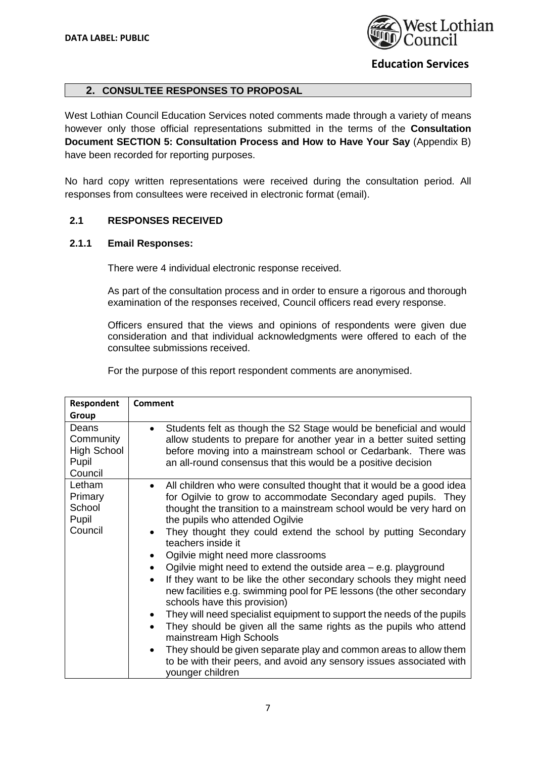

### **2. CONSULTEE RESPONSES TO PROPOSAL**

West Lothian Council Education Services noted comments made through a variety of means however only those official representations submitted in the terms of the **Consultation Document SECTION 5: Consultation Process and How to Have Your Say** (Appendix B) have been recorded for reporting purposes.

No hard copy written representations were received during the consultation period. All responses from consultees were received in electronic format (email).

### **2.1 RESPONSES RECEIVED**

### **2.1.1 Email Responses:**

There were 4 individual electronic response received.

As part of the consultation process and in order to ensure a rigorous and thorough examination of the responses received, Council officers read every response.

Officers ensured that the views and opinions of respondents were given due consideration and that individual acknowledgments were offered to each of the consultee submissions received.

For the purpose of this report respondent comments are anonymised.

| Respondent                                                   | <b>Comment</b>                                                                                                                                                                                                                                                                                                                                                                                                                                                                                                                                                                                                                                                                                                                                                                                                                                                                                                                                                                                                                                               |
|--------------------------------------------------------------|--------------------------------------------------------------------------------------------------------------------------------------------------------------------------------------------------------------------------------------------------------------------------------------------------------------------------------------------------------------------------------------------------------------------------------------------------------------------------------------------------------------------------------------------------------------------------------------------------------------------------------------------------------------------------------------------------------------------------------------------------------------------------------------------------------------------------------------------------------------------------------------------------------------------------------------------------------------------------------------------------------------------------------------------------------------|
| Group                                                        |                                                                                                                                                                                                                                                                                                                                                                                                                                                                                                                                                                                                                                                                                                                                                                                                                                                                                                                                                                                                                                                              |
| Deans<br>Community<br><b>High School</b><br>Pupil<br>Council | Students felt as though the S2 Stage would be beneficial and would<br>allow students to prepare for another year in a better suited setting<br>before moving into a mainstream school or Cedarbank. There was<br>an all-round consensus that this would be a positive decision                                                                                                                                                                                                                                                                                                                                                                                                                                                                                                                                                                                                                                                                                                                                                                               |
| Letham<br>Primary<br>School<br>Pupil<br>Council              | All children who were consulted thought that it would be a good idea<br>$\bullet$<br>for Ogilvie to grow to accommodate Secondary aged pupils. They<br>thought the transition to a mainstream school would be very hard on<br>the pupils who attended Ogilvie<br>They thought they could extend the school by putting Secondary<br>$\bullet$<br>teachers inside it<br>Ogilvie might need more classrooms<br>$\bullet$<br>Ogilvie might need to extend the outside area $-$ e.g. playground<br>If they want to be like the other secondary schools they might need<br>$\bullet$<br>new facilities e.g. swimming pool for PE lessons (the other secondary<br>schools have this provision)<br>They will need specialist equipment to support the needs of the pupils<br>$\bullet$<br>They should be given all the same rights as the pupils who attend<br>$\bullet$<br>mainstream High Schools<br>They should be given separate play and common areas to allow them<br>to be with their peers, and avoid any sensory issues associated with<br>younger children |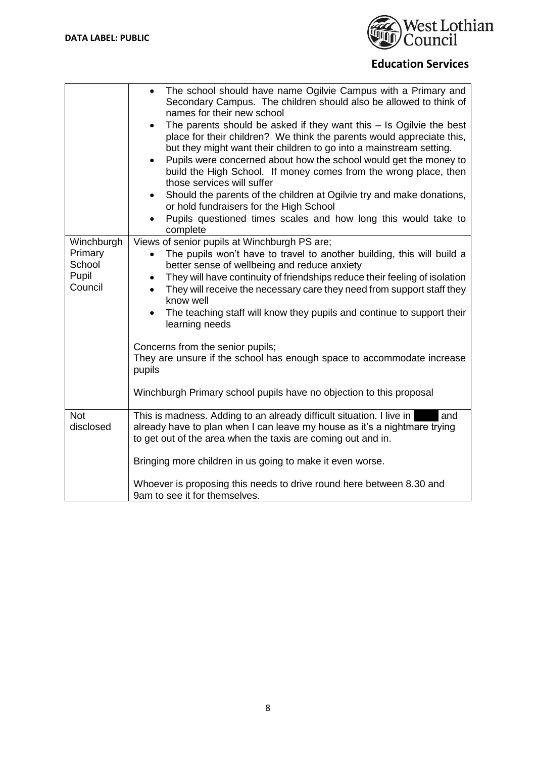

|                  | The school should have name Ogilvie Campus with a Primary and<br>$\bullet$<br>Secondary Campus. The children should also be allowed to think of<br>names for their new school<br>The parents should be asked if they want this $-$ Is Ogilvie the best<br>$\bullet$<br>place for their children? We think the parents would appreciate this,<br>but they might want their children to go into a mainstream setting.<br>Pupils were concerned about how the school would get the money to<br>$\bullet$<br>build the High School. If money comes from the wrong place, then<br>those services will suffer<br>Should the parents of the children at Ogilvie try and make donations,<br>٠<br>or hold fundraisers for the High School<br>Pupils questioned times scales and how long this would take to<br>complete |  |  |
|------------------|----------------------------------------------------------------------------------------------------------------------------------------------------------------------------------------------------------------------------------------------------------------------------------------------------------------------------------------------------------------------------------------------------------------------------------------------------------------------------------------------------------------------------------------------------------------------------------------------------------------------------------------------------------------------------------------------------------------------------------------------------------------------------------------------------------------|--|--|
| Winchburgh       | Views of senior pupils at Winchburgh PS are;                                                                                                                                                                                                                                                                                                                                                                                                                                                                                                                                                                                                                                                                                                                                                                   |  |  |
| Primary          | The pupils won't have to travel to another building, this will build a<br>$\bullet$                                                                                                                                                                                                                                                                                                                                                                                                                                                                                                                                                                                                                                                                                                                            |  |  |
| School           | better sense of wellbeing and reduce anxiety                                                                                                                                                                                                                                                                                                                                                                                                                                                                                                                                                                                                                                                                                                                                                                   |  |  |
| Pupil<br>Council | They will have continuity of friendships reduce their feeling of isolation<br>$\bullet$                                                                                                                                                                                                                                                                                                                                                                                                                                                                                                                                                                                                                                                                                                                        |  |  |
|                  | They will receive the necessary care they need from support staff they<br>$\bullet$<br>know well                                                                                                                                                                                                                                                                                                                                                                                                                                                                                                                                                                                                                                                                                                               |  |  |
|                  | The teaching staff will know they pupils and continue to support their<br>$\bullet$                                                                                                                                                                                                                                                                                                                                                                                                                                                                                                                                                                                                                                                                                                                            |  |  |
|                  | learning needs                                                                                                                                                                                                                                                                                                                                                                                                                                                                                                                                                                                                                                                                                                                                                                                                 |  |  |
|                  | Concerns from the senior pupils;                                                                                                                                                                                                                                                                                                                                                                                                                                                                                                                                                                                                                                                                                                                                                                               |  |  |
|                  | They are unsure if the school has enough space to accommodate increase                                                                                                                                                                                                                                                                                                                                                                                                                                                                                                                                                                                                                                                                                                                                         |  |  |
|                  | pupils                                                                                                                                                                                                                                                                                                                                                                                                                                                                                                                                                                                                                                                                                                                                                                                                         |  |  |
|                  | Winchburgh Primary school pupils have no objection to this proposal                                                                                                                                                                                                                                                                                                                                                                                                                                                                                                                                                                                                                                                                                                                                            |  |  |
| <b>Not</b>       | This is madness. Adding to an already difficult situation. I live in<br>and                                                                                                                                                                                                                                                                                                                                                                                                                                                                                                                                                                                                                                                                                                                                    |  |  |
| disclosed        | already have to plan when I can leave my house as it's a nightmare trying                                                                                                                                                                                                                                                                                                                                                                                                                                                                                                                                                                                                                                                                                                                                      |  |  |
|                  | to get out of the area when the taxis are coming out and in.                                                                                                                                                                                                                                                                                                                                                                                                                                                                                                                                                                                                                                                                                                                                                   |  |  |
|                  | Bringing more children in us going to make it even worse.                                                                                                                                                                                                                                                                                                                                                                                                                                                                                                                                                                                                                                                                                                                                                      |  |  |
|                  | Whoever is proposing this needs to drive round here between 8.30 and                                                                                                                                                                                                                                                                                                                                                                                                                                                                                                                                                                                                                                                                                                                                           |  |  |
|                  | 9am to see it for themselves.                                                                                                                                                                                                                                                                                                                                                                                                                                                                                                                                                                                                                                                                                                                                                                                  |  |  |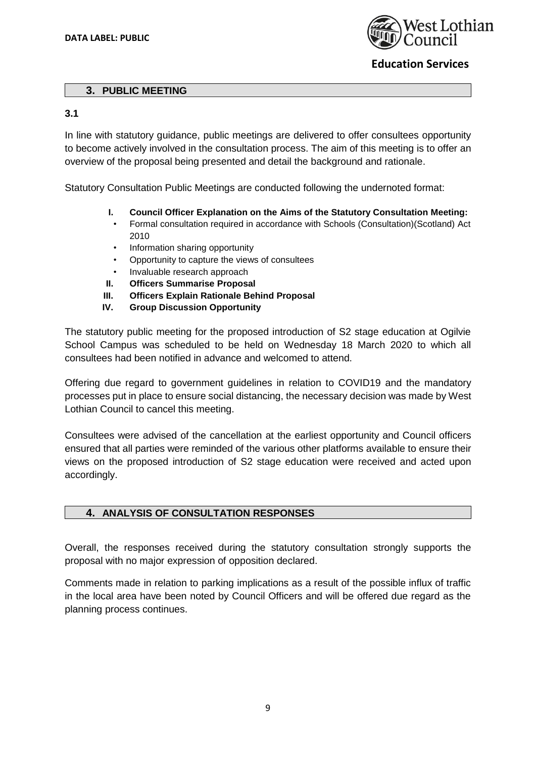

### **3. PUBLIC MEETING**

### **3.1**

In line with statutory guidance, public meetings are delivered to offer consultees opportunity to become actively involved in the consultation process. The aim of this meeting is to offer an overview of the proposal being presented and detail the background and rationale.

Statutory Consultation Public Meetings are conducted following the undernoted format:

- **I. Council Officer Explanation on the Aims of the Statutory Consultation Meeting:**
- Formal consultation required in accordance with Schools (Consultation)(Scotland) Act 2010
- Information sharing opportunity
- Opportunity to capture the views of consultees
- Invaluable research approach
- **II. Officers Summarise Proposal**
- **III. Officers Explain Rationale Behind Proposal**
- **IV. Group Discussion Opportunity**

The statutory public meeting for the proposed introduction of S2 stage education at Ogilvie School Campus was scheduled to be held on Wednesday 18 March 2020 to which all consultees had been notified in advance and welcomed to attend.

Offering due regard to government guidelines in relation to COVID19 and the mandatory processes put in place to ensure social distancing, the necessary decision was made by West Lothian Council to cancel this meeting.

Consultees were advised of the cancellation at the earliest opportunity and Council officers ensured that all parties were reminded of the various other platforms available to ensure their views on the proposed introduction of S2 stage education were received and acted upon accordingly.

### **4. ANALYSIS OF CONSULTATION RESPONSES**

Overall, the responses received during the statutory consultation strongly supports the proposal with no major expression of opposition declared.

Comments made in relation to parking implications as a result of the possible influx of traffic in the local area have been noted by Council Officers and will be offered due regard as the planning process continues.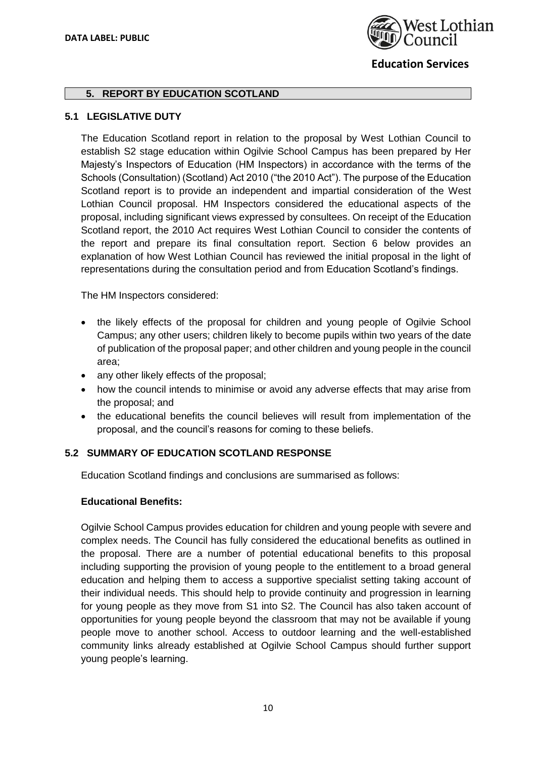

### **5. REPORT BY EDUCATION SCOTLAND**

### **5.1 LEGISLATIVE DUTY**

The Education Scotland report in relation to the proposal by West Lothian Council to establish S2 stage education within Ogilvie School Campus has been prepared by Her Majesty's Inspectors of Education (HM Inspectors) in accordance with the terms of the Schools (Consultation) (Scotland) Act 2010 ("the 2010 Act"). The purpose of the Education Scotland report is to provide an independent and impartial consideration of the West Lothian Council proposal. HM Inspectors considered the educational aspects of the proposal, including significant views expressed by consultees. On receipt of the Education Scotland report, the 2010 Act requires West Lothian Council to consider the contents of the report and prepare its final consultation report. Section 6 below provides an explanation of how West Lothian Council has reviewed the initial proposal in the light of representations during the consultation period and from Education Scotland's findings.

The HM Inspectors considered:

- the likely effects of the proposal for children and young people of Ogilvie School Campus; any other users; children likely to become pupils within two years of the date of publication of the proposal paper; and other children and young people in the council area;
- any other likely effects of the proposal;
- how the council intends to minimise or avoid any adverse effects that may arise from the proposal; and
- the educational benefits the council believes will result from implementation of the proposal, and the council's reasons for coming to these beliefs.

### **5.2 SUMMARY OF EDUCATION SCOTLAND RESPONSE**

Education Scotland findings and conclusions are summarised as follows:

### **Educational Benefits:**

Ogilvie School Campus provides education for children and young people with severe and complex needs. The Council has fully considered the educational benefits as outlined in the proposal. There are a number of potential educational benefits to this proposal including supporting the provision of young people to the entitlement to a broad general education and helping them to access a supportive specialist setting taking account of their individual needs. This should help to provide continuity and progression in learning for young people as they move from S1 into S2. The Council has also taken account of opportunities for young people beyond the classroom that may not be available if young people move to another school. Access to outdoor learning and the well-established community links already established at Ogilvie School Campus should further support young people's learning.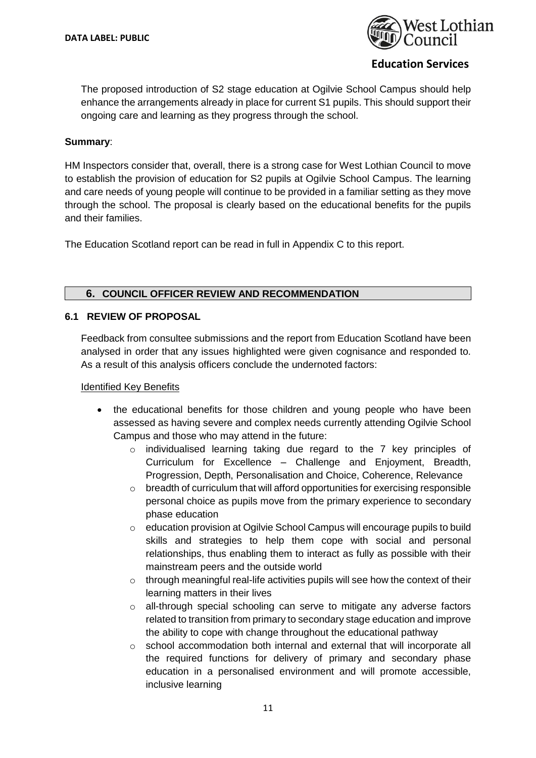

The proposed introduction of S2 stage education at Ogilvie School Campus should help enhance the arrangements already in place for current S1 pupils. This should support their ongoing care and learning as they progress through the school.

### **Summary**:

HM Inspectors consider that, overall, there is a strong case for West Lothian Council to move to establish the provision of education for S2 pupils at Ogilvie School Campus. The learning and care needs of young people will continue to be provided in a familiar setting as they move through the school. The proposal is clearly based on the educational benefits for the pupils and their families.

The Education Scotland report can be read in full in Appendix C to this report.

### **6. COUNCIL OFFICER REVIEW AND RECOMMENDATION**

### **6.1 REVIEW OF PROPOSAL**

Feedback from consultee submissions and the report from Education Scotland have been analysed in order that any issues highlighted were given cognisance and responded to. As a result of this analysis officers conclude the undernoted factors:

### Identified Key Benefits

- the educational benefits for those children and young people who have been assessed as having severe and complex needs currently attending Ogilvie School Campus and those who may attend in the future:
	- $\circ$  individualised learning taking due regard to the 7 key principles of Curriculum for Excellence – Challenge and Enjoyment, Breadth, Progression, Depth, Personalisation and Choice, Coherence, Relevance
	- o breadth of curriculum that will afford opportunities for exercising responsible personal choice as pupils move from the primary experience to secondary phase education
	- $\circ$  education provision at Ogilvie School Campus will encourage pupils to build skills and strategies to help them cope with social and personal relationships, thus enabling them to interact as fully as possible with their mainstream peers and the outside world
	- $\circ$  through meaningful real-life activities pupils will see how the context of their learning matters in their lives
	- $\circ$  all-through special schooling can serve to mitigate any adverse factors related to transition from primary to secondary stage education and improve the ability to cope with change throughout the educational pathway
	- $\circ$  school accommodation both internal and external that will incorporate all the required functions for delivery of primary and secondary phase education in a personalised environment and will promote accessible, inclusive learning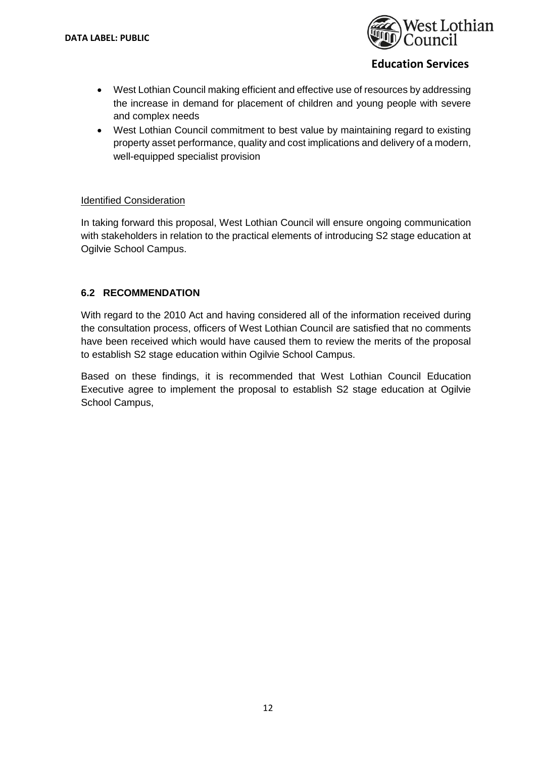

- West Lothian Council making efficient and effective use of resources by addressing the increase in demand for placement of children and young people with severe and complex needs
- West Lothian Council commitment to best value by maintaining regard to existing property asset performance, quality and cost implications and delivery of a modern, well-equipped specialist provision

### Identified Consideration

In taking forward this proposal, West Lothian Council will ensure ongoing communication with stakeholders in relation to the practical elements of introducing S2 stage education at Ogilvie School Campus.

### **6.2 RECOMMENDATION**

With regard to the 2010 Act and having considered all of the information received during the consultation process, officers of West Lothian Council are satisfied that no comments have been received which would have caused them to review the merits of the proposal to establish S2 stage education within Ogilvie School Campus.

Based on these findings, it is recommended that West Lothian Council Education Executive agree to implement the proposal to establish S2 stage education at Ogilvie School Campus,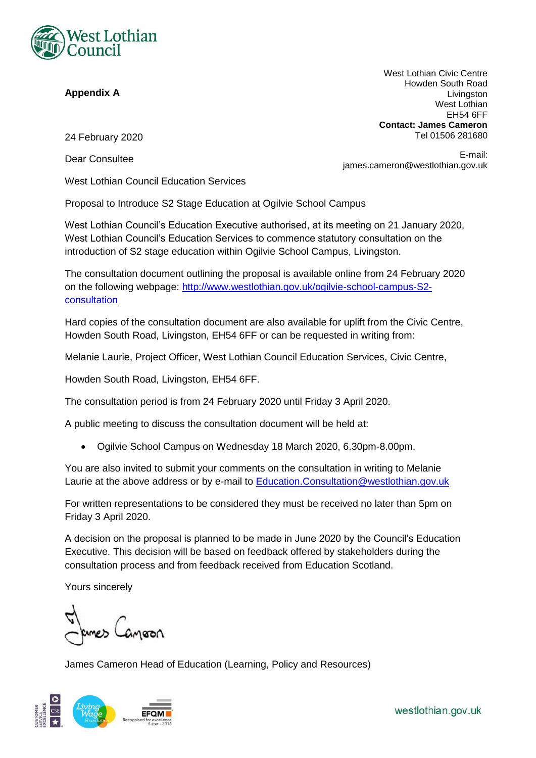

### **Appendix A**

West Lothian Civic Centre Howden South Road Livingston West Lothian EH54 6FF **Contact: James Cameron** Tel 01506 281680

24 February 2020

Dear Consultee

E-mail: james.cameron@westlothian.gov.uk

West Lothian Council Education Services

Proposal to Introduce S2 Stage Education at Ogilvie School Campus

West Lothian Council's Education Executive authorised, at its meeting on 21 January 2020, West Lothian Council's Education Services to commence statutory consultation on the introduction of S2 stage education within Ogilvie School Campus, Livingston.

The consultation document outlining the proposal is available online from 24 February 2020 on the following webpage: [http://www.westlothian.gov.uk/ogilvie-school-campus-S2](http://www.westlothian.gov.uk/ogilvie-school-campus-S2-consultation) **[consultation](http://www.westlothian.gov.uk/ogilvie-school-campus-S2-consultation)** 

Hard copies of the consultation document are also available for uplift from the Civic Centre, Howden South Road, Livingston, EH54 6FF or can be requested in writing from:

Melanie Laurie, Project Officer, West Lothian Council Education Services, Civic Centre,

Howden South Road, Livingston, EH54 6FF.

The consultation period is from 24 February 2020 until Friday 3 April 2020.

A public meeting to discuss the consultation document will be held at:

• Ogilvie School Campus on Wednesday 18 March 2020, 6.30pm-8.00pm.

You are also invited to submit your comments on the consultation in writing to Melanie Laurie at the above address or by e-mail to **Education.Consultation@westlothian.gov.uk** 

For written representations to be considered they must be received no later than 5pm on Friday 3 April 2020.

A decision on the proposal is planned to be made in June 2020 by the Council's Education Executive. This decision will be based on feedback offered by stakeholders during the consultation process and from feedback received from Education Scotland.

Yours sincerely

James Cameron Head of Education (Learning, Policy and Resources)

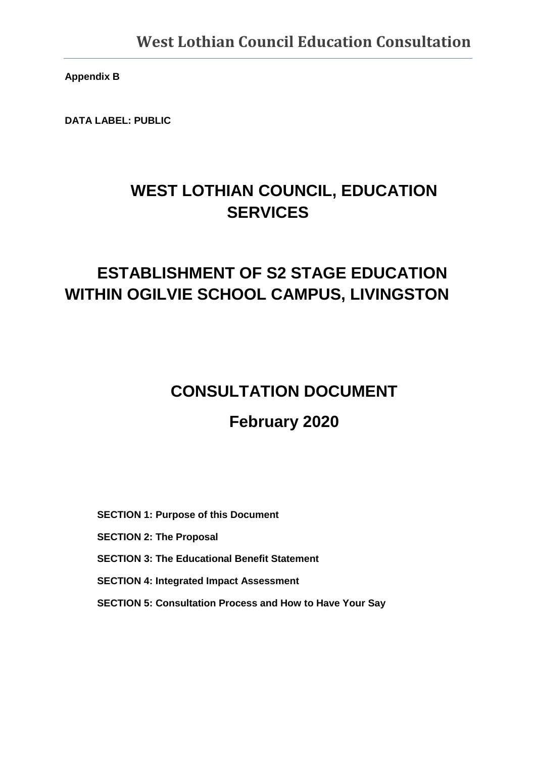**Appendix B**

**DATA LABEL: PUBLIC** 

# **WEST LOTHIAN COUNCIL, EDUCATION SERVICES**

# **ESTABLISHMENT OF S2 STAGE EDUCATION WITHIN OGILVIE SCHOOL CAMPUS, LIVINGSTON**

# **CONSULTATION DOCUMENT February 2020**

**SECTION 1: Purpose of this Document SECTION 2: The Proposal SECTION 3: The Educational Benefit Statement SECTION 4: Integrated Impact Assessment SECTION 5: Consultation Process and How to Have Your Say**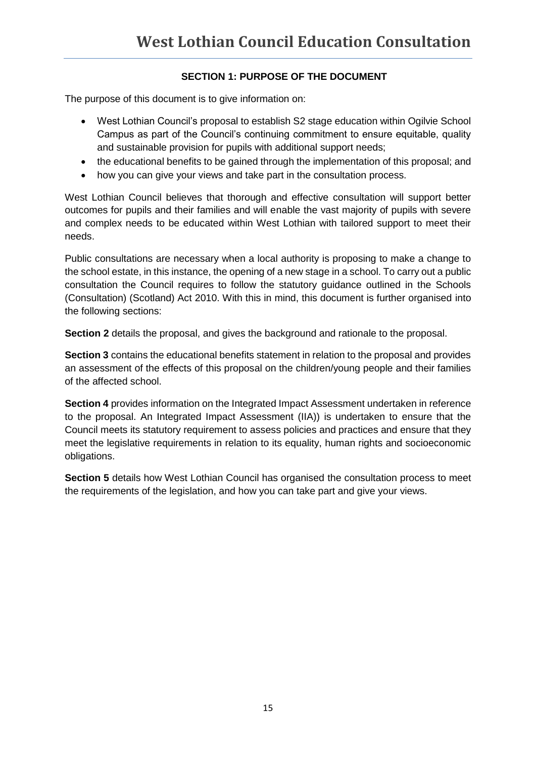## **SECTION 1: PURPOSE OF THE DOCUMENT**

The purpose of this document is to give information on:

- West Lothian Council's proposal to establish S2 stage education within Ogilvie School Campus as part of the Council's continuing commitment to ensure equitable, quality and sustainable provision for pupils with additional support needs;
- the educational benefits to be gained through the implementation of this proposal; and
- how you can give your views and take part in the consultation process.

West Lothian Council believes that thorough and effective consultation will support better outcomes for pupils and their families and will enable the vast majority of pupils with severe and complex needs to be educated within West Lothian with tailored support to meet their needs.

Public consultations are necessary when a local authority is proposing to make a change to the school estate, in this instance, the opening of a new stage in a school. To carry out a public consultation the Council requires to follow the statutory guidance outlined in the Schools (Consultation) (Scotland) Act 2010. With this in mind, this document is further organised into the following sections:

**Section 2** details the proposal, and gives the background and rationale to the proposal.

**Section 3** contains the educational benefits statement in relation to the proposal and provides an assessment of the effects of this proposal on the children/young people and their families of the affected school.

**Section 4** provides information on the Integrated Impact Assessment undertaken in reference to the proposal. An Integrated Impact Assessment (IIA)) is undertaken to ensure that the Council meets its statutory requirement to assess policies and practices and ensure that they meet the legislative requirements in relation to its equality, human rights and socioeconomic obligations.

**Section 5** details how West Lothian Council has organised the consultation process to meet the requirements of the legislation, and how you can take part and give your views.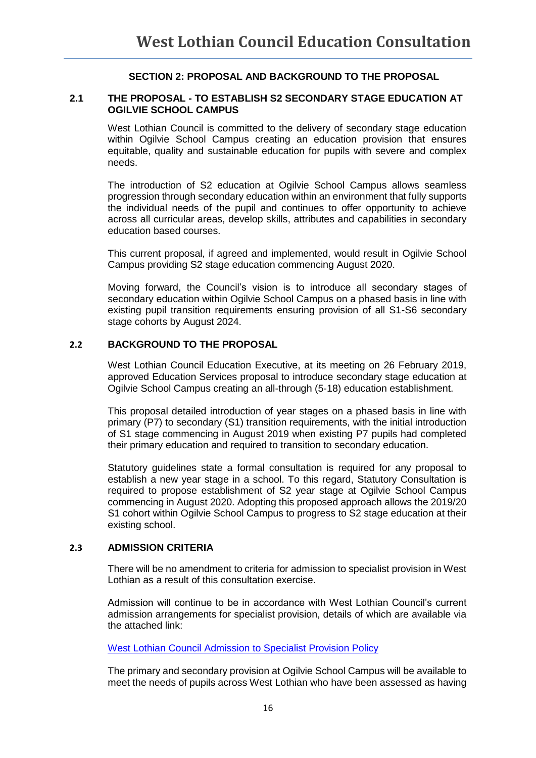### **SECTION 2: PROPOSAL AND BACKGROUND TO THE PROPOSAL**

### **2.1 THE PROPOSAL - TO ESTABLISH S2 SECONDARY STAGE EDUCATION AT OGILVIE SCHOOL CAMPUS**

West Lothian Council is committed to the delivery of secondary stage education within Ogilvie School Campus creating an education provision that ensures equitable, quality and sustainable education for pupils with severe and complex needs.

The introduction of S2 education at Ogilvie School Campus allows seamless progression through secondary education within an environment that fully supports the individual needs of the pupil and continues to offer opportunity to achieve across all curricular areas, develop skills, attributes and capabilities in secondary education based courses.

This current proposal, if agreed and implemented, would result in Ogilvie School Campus providing S2 stage education commencing August 2020.

Moving forward, the Council's vision is to introduce all secondary stages of secondary education within Ogilvie School Campus on a phased basis in line with existing pupil transition requirements ensuring provision of all S1-S6 secondary stage cohorts by August 2024.

### **2.2 BACKGROUND TO THE PROPOSAL**

West Lothian Council Education Executive, at its meeting on 26 February 2019, approved Education Services proposal to introduce secondary stage education at Ogilvie School Campus creating an all-through (5-18) education establishment.

This proposal detailed introduction of year stages on a phased basis in line with primary (P7) to secondary (S1) transition requirements, with the initial introduction of S1 stage commencing in August 2019 when existing P7 pupils had completed their primary education and required to transition to secondary education.

Statutory guidelines state a formal consultation is required for any proposal to establish a new year stage in a school. To this regard, Statutory Consultation is required to propose establishment of S2 year stage at Ogilvie School Campus commencing in August 2020. Adopting this proposed approach allows the 2019/20 S1 cohort within Ogilvie School Campus to progress to S2 stage education at their existing school.

### **2.3 ADMISSION CRITERIA**

There will be no amendment to criteria for admission to specialist provision in West Lothian as a result of this consultation exercise.

Admission will continue to be in accordance with West Lothian Council's current admission arrangements for specialist provision, details of which are available via the attached link:

[West Lothian Council Admission to Specialist Provision Policy](https://www.westlothian.gov.uk/media/9292/Admission-to-Specialist-Provision---Procedure/pdf/Admission_to_Specialist_Provision_-_Procedure.pdf)

The primary and secondary provision at Ogilvie School Campus will be available to meet the needs of pupils across West Lothian who have been assessed as having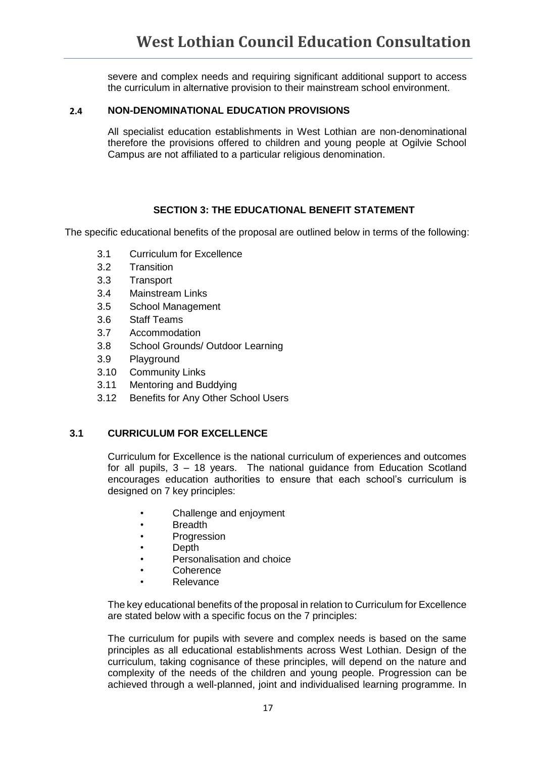severe and complex needs and requiring significant additional support to access the curriculum in alternative provision to their mainstream school environment.

### **2.4 NON-DENOMINATIONAL EDUCATION PROVISIONS**

All specialist education establishments in West Lothian are non-denominational therefore the provisions offered to children and young people at Ogilvie School Campus are not affiliated to a particular religious denomination.

### **SECTION 3: THE EDUCATIONAL BENEFIT STATEMENT**

The specific educational benefits of the proposal are outlined below in terms of the following:

- 3.1 Curriculum for Excellence
- 3.2 Transition
- 3.3 Transport
- 3.4 Mainstream Links
- 3.5 School Management
- 3.6 Staff Teams
- 3.7 Accommodation
- 3.8 School Grounds/ Outdoor Learning
- 3.9 Playground
- 3.10 Community Links
- 3.11 Mentoring and Buddying
- 3.12 Benefits for Any Other School Users

### **3.1 CURRICULUM FOR EXCELLENCE**

Curriculum for Excellence is the national curriculum of experiences and outcomes for all pupils, 3 – 18 years. The national guidance from Education Scotland encourages education authorities to ensure that each school's curriculum is designed on 7 key principles:

- Challenge and enjoyment
- Breadth
- Progression
- Depth
- Personalisation and choice
- Coherence
	- Relevance

The key educational benefits of the proposal in relation to Curriculum for Excellence are stated below with a specific focus on the 7 principles:

The curriculum for pupils with severe and complex needs is based on the same principles as all educational establishments across West Lothian. Design of the curriculum, taking cognisance of these principles, will depend on the nature and complexity of the needs of the children and young people. Progression can be achieved through a well-planned, joint and individualised learning programme. In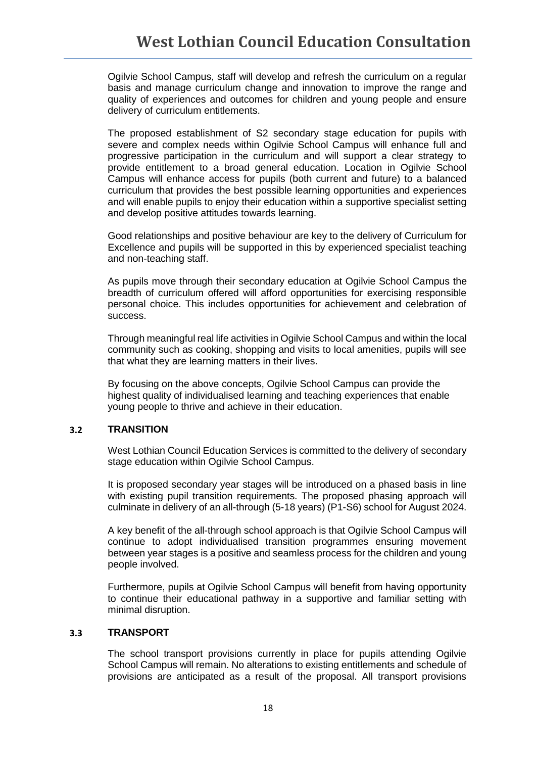Ogilvie School Campus, staff will develop and refresh the curriculum on a regular basis and manage curriculum change and innovation to improve the range and quality of experiences and outcomes for children and young people and ensure delivery of curriculum entitlements.

The proposed establishment of S2 secondary stage education for pupils with severe and complex needs within Ogilvie School Campus will enhance full and progressive participation in the curriculum and will support a clear strategy to provide entitlement to a broad general education. Location in Ogilvie School Campus will enhance access for pupils (both current and future) to a balanced curriculum that provides the best possible learning opportunities and experiences and will enable pupils to enjoy their education within a supportive specialist setting and develop positive attitudes towards learning.

Good relationships and positive behaviour are key to the delivery of Curriculum for Excellence and pupils will be supported in this by experienced specialist teaching and non-teaching staff.

As pupils move through their secondary education at Ogilvie School Campus the breadth of curriculum offered will afford opportunities for exercising responsible personal choice. This includes opportunities for achievement and celebration of success.

Through meaningful real life activities in Ogilvie School Campus and within the local community such as cooking, shopping and visits to local amenities, pupils will see that what they are learning matters in their lives.

By focusing on the above concepts, Ogilvie School Campus can provide the highest quality of individualised learning and teaching experiences that enable young people to thrive and achieve in their education.

### **3.2 TRANSITION**

West Lothian Council Education Services is committed to the delivery of secondary stage education within Ogilvie School Campus.

It is proposed secondary year stages will be introduced on a phased basis in line with existing pupil transition requirements. The proposed phasing approach will culminate in delivery of an all-through (5-18 years) (P1-S6) school for August 2024.

A key benefit of the all-through school approach is that Ogilvie School Campus will continue to adopt individualised transition programmes ensuring movement between year stages is a positive and seamless process for the children and young people involved.

Furthermore, pupils at Ogilvie School Campus will benefit from having opportunity to continue their educational pathway in a supportive and familiar setting with minimal disruption.

### **3.3 TRANSPORT**

The school transport provisions currently in place for pupils attending Ogilvie School Campus will remain. No alterations to existing entitlements and schedule of provisions are anticipated as a result of the proposal. All transport provisions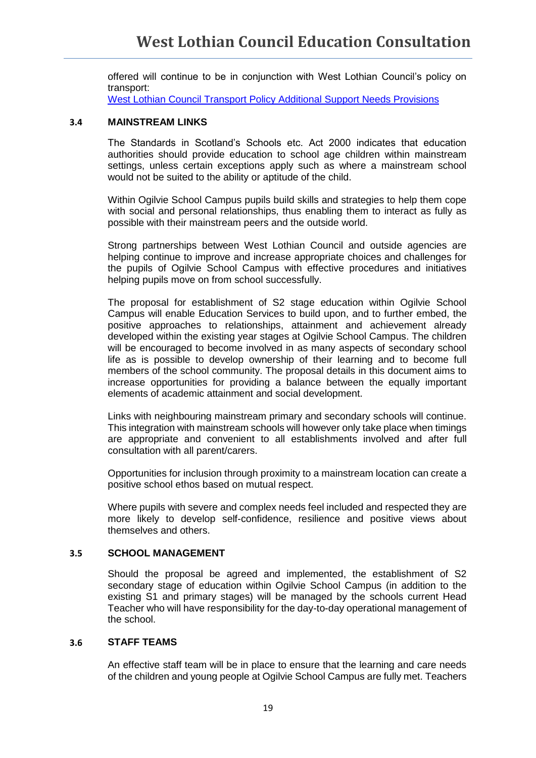offered will continue to be in conjunction with West Lothian Council's policy on transport:

West Lothian Council [Transport Policy Additional Support Needs Provisions](https://www.westlothian.gov.uk/media/2246/Transport-to-and-from-School---Special-Needs/pdf/Transport_to_and_from_School_-_Special_Needs.pdf)

### **3.4 MAINSTREAM LINKS**

The Standards in Scotland's Schools etc. Act 2000 indicates that education authorities should provide education to school age children within mainstream settings, unless certain exceptions apply such as where a mainstream school would not be suited to the ability or aptitude of the child.

Within Ogilvie School Campus pupils build skills and strategies to help them cope with social and personal relationships, thus enabling them to interact as fully as possible with their mainstream peers and the outside world.

Strong partnerships between West Lothian Council and outside agencies are helping continue to improve and increase appropriate choices and challenges for the pupils of Ogilvie School Campus with effective procedures and initiatives helping pupils move on from school successfully.

The proposal for establishment of S2 stage education within Ogilvie School Campus will enable Education Services to build upon, and to further embed, the positive approaches to relationships, attainment and achievement already developed within the existing year stages at Ogilvie School Campus. The children will be encouraged to become involved in as many aspects of secondary school life as is possible to develop ownership of their learning and to become full members of the school community. The proposal details in this document aims to increase opportunities for providing a balance between the equally important elements of academic attainment and social development.

Links with neighbouring mainstream primary and secondary schools will continue. This integration with mainstream schools will however only take place when timings are appropriate and convenient to all establishments involved and after full consultation with all parent/carers.

Opportunities for inclusion through proximity to a mainstream location can create a positive school ethos based on mutual respect.

Where pupils with severe and complex needs feel included and respected they are more likely to develop self-confidence, resilience and positive views about themselves and others.

### **3.5 SCHOOL MANAGEMENT**

Should the proposal be agreed and implemented, the establishment of S2 secondary stage of education within Ogilvie School Campus (in addition to the existing S1 and primary stages) will be managed by the schools current Head Teacher who will have responsibility for the day-to-day operational management of the school.

### **3.6 STAFF TEAMS**

An effective staff team will be in place to ensure that the learning and care needs of the children and young people at Ogilvie School Campus are fully met. Teachers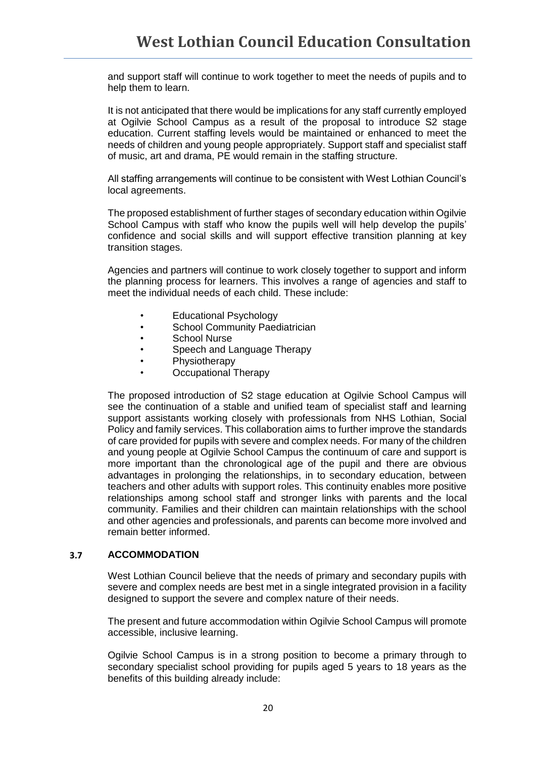and support staff will continue to work together to meet the needs of pupils and to help them to learn.

It is not anticipated that there would be implications for any staff currently employed at Ogilvie School Campus as a result of the proposal to introduce S2 stage education. Current staffing levels would be maintained or enhanced to meet the needs of children and young people appropriately. Support staff and specialist staff of music, art and drama, PE would remain in the staffing structure.

All staffing arrangements will continue to be consistent with West Lothian Council's local agreements.

The proposed establishment of further stages of secondary education within Ogilvie School Campus with staff who know the pupils well will help develop the pupils' confidence and social skills and will support effective transition planning at key transition stages.

Agencies and partners will continue to work closely together to support and inform the planning process for learners. This involves a range of agencies and staff to meet the individual needs of each child. These include:

- Educational Psychology
- School Community Paediatrician
- School Nurse
- Speech and Language Therapy<br>• Physiotherapy
- **Physiotherapy**
- Occupational Therapy

The proposed introduction of S2 stage education at Ogilvie School Campus will see the continuation of a stable and unified team of specialist staff and learning support assistants working closely with professionals from NHS Lothian, Social Policy and family services. This collaboration aims to further improve the standards of care provided for pupils with severe and complex needs. For many of the children and young people at Ogilvie School Campus the continuum of care and support is more important than the chronological age of the pupil and there are obvious advantages in prolonging the relationships, in to secondary education, between teachers and other adults with support roles. This continuity enables more positive relationships among school staff and stronger links with parents and the local community. Families and their children can maintain relationships with the school and other agencies and professionals, and parents can become more involved and remain better informed.

### **3.7 ACCOMMODATION**

West Lothian Council believe that the needs of primary and secondary pupils with severe and complex needs are best met in a single integrated provision in a facility designed to support the severe and complex nature of their needs.

The present and future accommodation within Ogilvie School Campus will promote accessible, inclusive learning.

Ogilvie School Campus is in a strong position to become a primary through to secondary specialist school providing for pupils aged 5 years to 18 years as the benefits of this building already include: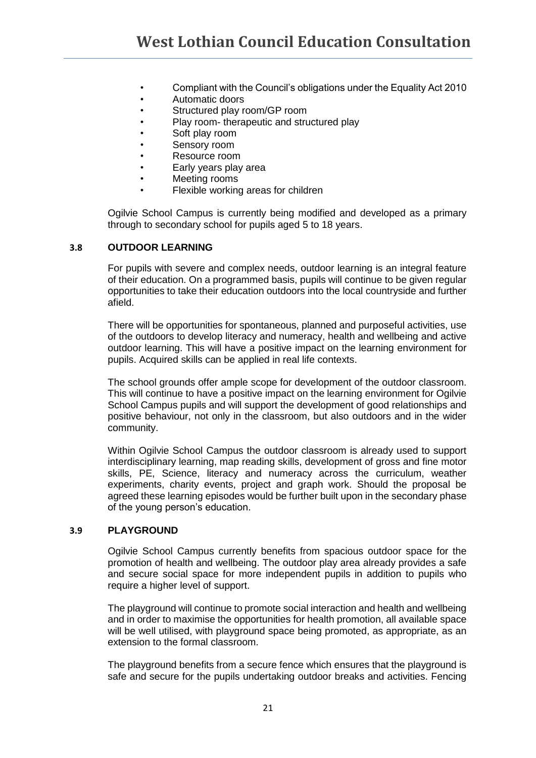- Compliant with the Council's obligations under the Equality Act 2010
- Automatic doors
- Structured play room/GP room
- Play room- therapeutic and structured play
- Soft play room
- Sensory room
- Resource room
- Early years play area
- Meeting rooms
- Flexible working areas for children

Ogilvie School Campus is currently being modified and developed as a primary through to secondary school for pupils aged 5 to 18 years.

### **3.8 OUTDOOR LEARNING**

For pupils with severe and complex needs, outdoor learning is an integral feature of their education. On a programmed basis, pupils will continue to be given regular opportunities to take their education outdoors into the local countryside and further afield.

There will be opportunities for spontaneous, planned and purposeful activities, use of the outdoors to develop literacy and numeracy, health and wellbeing and active outdoor learning. This will have a positive impact on the learning environment for pupils. Acquired skills can be applied in real life contexts.

The school grounds offer ample scope for development of the outdoor classroom. This will continue to have a positive impact on the learning environment for Ogilvie School Campus pupils and will support the development of good relationships and positive behaviour, not only in the classroom, but also outdoors and in the wider community.

Within Ogilvie School Campus the outdoor classroom is already used to support interdisciplinary learning, map reading skills, development of gross and fine motor skills, PE, Science, literacy and numeracy across the curriculum, weather experiments, charity events, project and graph work. Should the proposal be agreed these learning episodes would be further built upon in the secondary phase of the young person's education.

### **3.9 PLAYGROUND**

Ogilvie School Campus currently benefits from spacious outdoor space for the promotion of health and wellbeing. The outdoor play area already provides a safe and secure social space for more independent pupils in addition to pupils who require a higher level of support.

The playground will continue to promote social interaction and health and wellbeing and in order to maximise the opportunities for health promotion, all available space will be well utilised, with playground space being promoted, as appropriate, as an extension to the formal classroom.

The playground benefits from a secure fence which ensures that the playground is safe and secure for the pupils undertaking outdoor breaks and activities. Fencing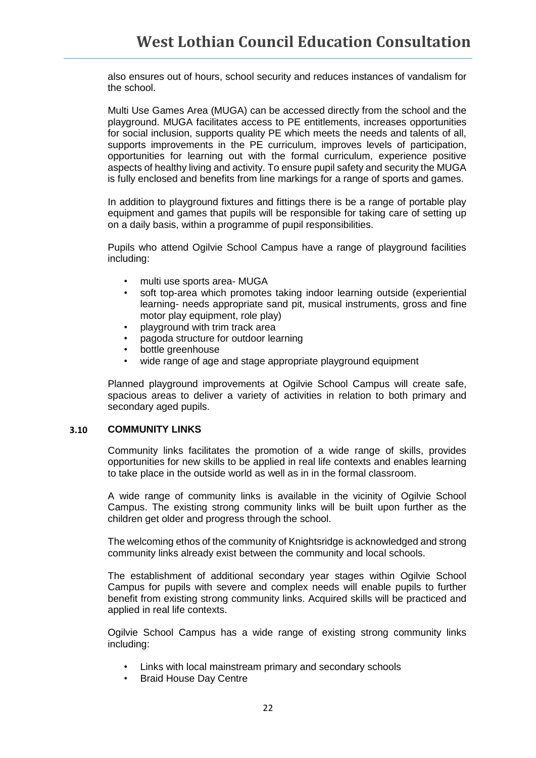also ensures out of hours, school security and reduces instances of vandalism for the school.

Multi Use Games Area (MUGA) can be accessed directly from the school and the playground. MUGA facilitates access to PE entitlements, increases opportunities for social inclusion, supports quality PE which meets the needs and talents of all, supports improvements in the PE curriculum, improves levels of participation, opportunities for learning out with the formal curriculum, experience positive aspects of healthy living and activity. To ensure pupil safety and security the MUGA is fully enclosed and benefits from line markings for a range of sports and games.

In addition to playground fixtures and fittings there is be a range of portable play equipment and games that pupils will be responsible for taking care of setting up on a daily basis, within a programme of pupil responsibilities.

Pupils who attend Ogilvie School Campus have a range of playground facilities including:

- multi use sports area- MUGA
- soft top-area which promotes taking indoor learning outside (experiential learning- needs appropriate sand pit, musical instruments, gross and fine motor play equipment, role play)
- playground with trim track area
- pagoda structure for outdoor learning
- bottle greenhouse
- wide range of age and stage appropriate playground equipment

Planned playground improvements at Ogilvie School Campus will create safe, spacious areas to deliver a variety of activities in relation to both primary and secondary aged pupils.

### **3.10 COMMUNITY LINKS**

Community links facilitates the promotion of a wide range of skills, provides opportunities for new skills to be applied in real life contexts and enables learning to take place in the outside world as well as in in the formal classroom.

A wide range of community links is available in the vicinity of Ogilvie School Campus. The existing strong community links will be built upon further as the children get older and progress through the school.

The welcoming ethos of the community of Knightsridge is acknowledged and strong community links already exist between the community and local schools.

The establishment of additional secondary year stages within Ogilvie School Campus for pupils with severe and complex needs will enable pupils to further benefit from existing strong community links. Acquired skills will be practiced and applied in real life contexts.

Ogilvie School Campus has a wide range of existing strong community links including:

- Links with local mainstream primary and secondary schools
- Braid House Day Centre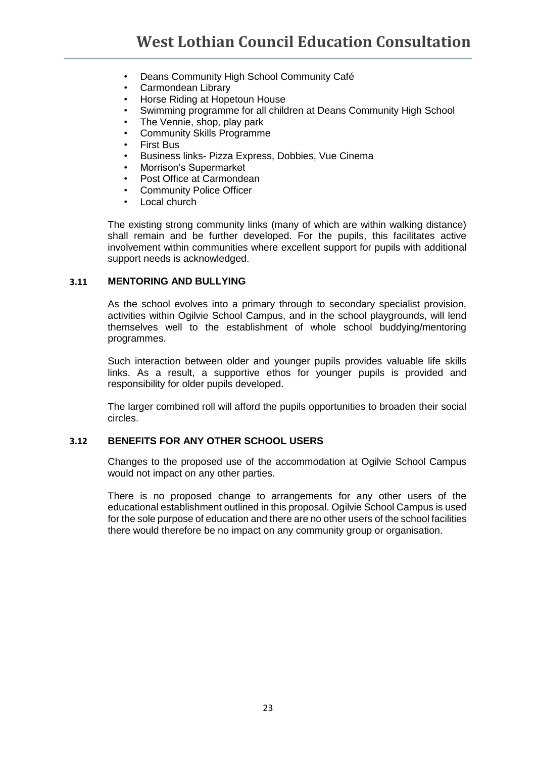- Deans Community High School Community Café
- Carmondean Library
- Horse Riding at Hopetoun House
- Swimming programme for all children at Deans Community High School
- The Vennie, shop, play park
- Community Skills Programme
- First Bus
- Business links- Pizza Express, Dobbies, Vue Cinema
- Morrison's Supermarket
- Post Office at Carmondean
- Community Police Officer
- Local church

The existing strong community links (many of which are within walking distance) shall remain and be further developed. For the pupils, this facilitates active involvement within communities where excellent support for pupils with additional support needs is acknowledged.

### **3.11 MENTORING AND BULLYING**

As the school evolves into a primary through to secondary specialist provision, activities within Ogilvie School Campus, and in the school playgrounds, will lend themselves well to the establishment of whole school buddying/mentoring programmes.

Such interaction between older and younger pupils provides valuable life skills links. As a result, a supportive ethos for younger pupils is provided and responsibility for older pupils developed.

The larger combined roll will afford the pupils opportunities to broaden their social circles.

### **3.12 BENEFITS FOR ANY OTHER SCHOOL USERS**

Changes to the proposed use of the accommodation at Ogilvie School Campus would not impact on any other parties.

There is no proposed change to arrangements for any other users of the educational establishment outlined in this proposal. Ogilvie School Campus is used for the sole purpose of education and there are no other users of the school facilities there would therefore be no impact on any community group or organisation.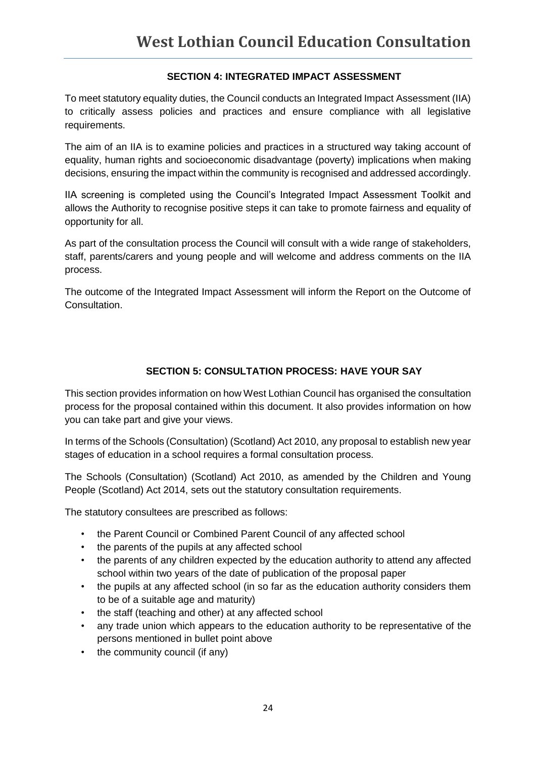### **SECTION 4: INTEGRATED IMPACT ASSESSMENT**

To meet statutory equality duties, the Council conducts an Integrated Impact Assessment (IIA) to critically assess policies and practices and ensure compliance with all legislative requirements.

The aim of an IIA is to examine policies and practices in a structured way taking account of equality, human rights and socioeconomic disadvantage (poverty) implications when making decisions, ensuring the impact within the community is recognised and addressed accordingly.

IIA screening is completed using the Council's Integrated Impact Assessment Toolkit and allows the Authority to recognise positive steps it can take to promote fairness and equality of opportunity for all.

As part of the consultation process the Council will consult with a wide range of stakeholders, staff, parents/carers and young people and will welcome and address comments on the IIA process.

The outcome of the Integrated Impact Assessment will inform the Report on the Outcome of Consultation.

### **SECTION 5: CONSULTATION PROCESS: HAVE YOUR SAY**

This section provides information on how West Lothian Council has organised the consultation process for the proposal contained within this document. It also provides information on how you can take part and give your views.

In terms of the Schools (Consultation) (Scotland) Act 2010, any proposal to establish new year stages of education in a school requires a formal consultation process.

The Schools (Consultation) (Scotland) Act 2010, as amended by the Children and Young People (Scotland) Act 2014, sets out the statutory consultation requirements.

The statutory consultees are prescribed as follows:

- the Parent Council or Combined Parent Council of any affected school
- the parents of the pupils at any affected school
- the parents of any children expected by the education authority to attend any affected school within two years of the date of publication of the proposal paper
- the pupils at any affected school (in so far as the education authority considers them to be of a suitable age and maturity)
- the staff (teaching and other) at any affected school
- any trade union which appears to the education authority to be representative of the persons mentioned in bullet point above
- the community council (if any)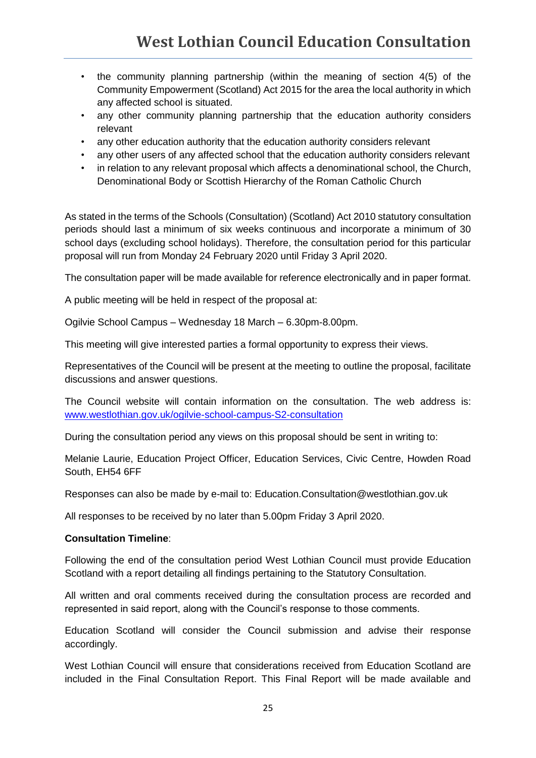- the community planning partnership (within the meaning of section 4(5) of the Community Empowerment (Scotland) Act 2015 for the area the local authority in which any affected school is situated.
- any other community planning partnership that the education authority considers relevant
- any other education authority that the education authority considers relevant
- any other users of any affected school that the education authority considers relevant
- in relation to any relevant proposal which affects a denominational school, the Church, Denominational Body or Scottish Hierarchy of the Roman Catholic Church

As stated in the terms of the Schools (Consultation) (Scotland) Act 2010 statutory consultation periods should last a minimum of six weeks continuous and incorporate a minimum of 30 school days (excluding school holidays). Therefore, the consultation period for this particular proposal will run from Monday 24 February 2020 until Friday 3 April 2020.

The consultation paper will be made available for reference electronically and in paper format.

A public meeting will be held in respect of the proposal at:

Ogilvie School Campus – Wednesday 18 March – 6.30pm-8.00pm.

This meeting will give interested parties a formal opportunity to express their views.

Representatives of the Council will be present at the meeting to outline the proposal, facilitate discussions and answer questions.

The Council website will contain information on the consultation. The web address is: [www.westlothian.gov.uk/ogilvie-school-campus-S2-consultation](file:///C:/Users/laurie.melanie/Desktop/www.westlothian.gov.uk/ogilvie-school-campus-S2-consultation)

During the consultation period any views on this proposal should be sent in writing to:

Melanie Laurie, Education Project Officer, Education Services, Civic Centre, Howden Road South, EH54 6FF

Responses can also be made by e-mail to: Education.Consultation@westlothian.gov.uk

All responses to be received by no later than 5.00pm Friday 3 April 2020.

### **Consultation Timeline**:

Following the end of the consultation period West Lothian Council must provide Education Scotland with a report detailing all findings pertaining to the Statutory Consultation.

All written and oral comments received during the consultation process are recorded and represented in said report, along with the Council's response to those comments.

Education Scotland will consider the Council submission and advise their response accordingly.

West Lothian Council will ensure that considerations received from Education Scotland are included in the Final Consultation Report. This Final Report will be made available and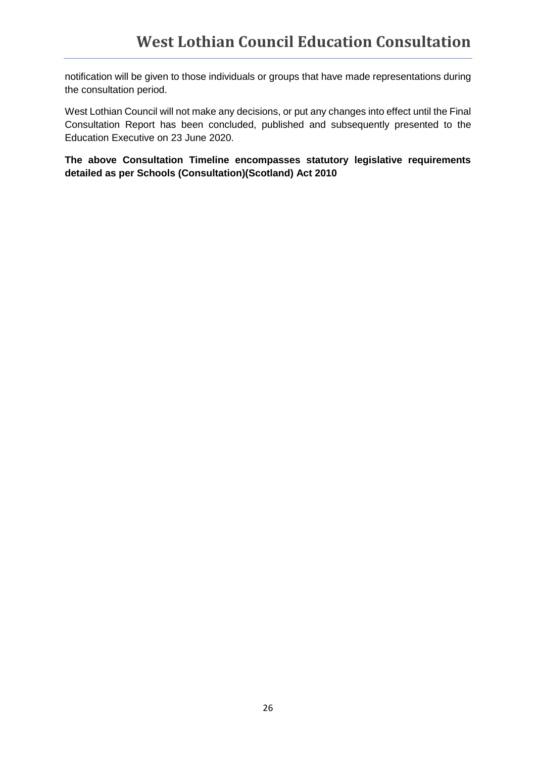notification will be given to those individuals or groups that have made representations during the consultation period.

West Lothian Council will not make any decisions, or put any changes into effect until the Final Consultation Report has been concluded, published and subsequently presented to the Education Executive on 23 June 2020.

**The above Consultation Timeline encompasses statutory legislative requirements detailed as per Schools (Consultation)(Scotland) Act 2010**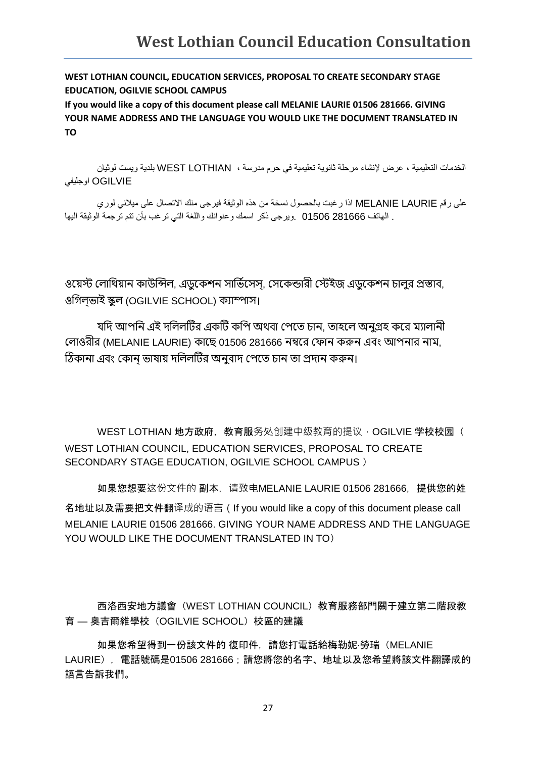**WEST LOTHIAN COUNCIL, EDUCATION SERVICES, PROPOSAL TO CREATE SECONDARY STAGE EDUCATION, OGILVIE SCHOOL CAMPUS**

**If you would like a copy of this document please call MELANIE LAURIE 01506 281666. GIVING YOUR NAME ADDRESS AND THE LANGUAGE YOU WOULD LIKE THE DOCUMENT TRANSLATED IN TO**

الخدمات التعليمية ، عرض إلنشاء مرحلة ثانوية تعليمية في حرم مدرسة ، LOTHIAN WEST بلدية ويست لوثيان OGILVIE اوجليفي

على رقم LAURIE MELANIE اذا رغبت بالحصول نسخة من هذه الوثيقة فيرجى منك االتصال على ميالني لوري . الهاتف 281666 01506 .ويرجى ذكر اسمك وعنوانك واللغة التي ترغب بأن تتم ترجمة الوثيقة اليها

ওয়েস্ট লোথিয়ান কাউন্সিল, এডুকেশন সার্ভিসেস, সেকেন্ডারী স্টেইজ এডুকেশন চালর প্রস্তাব, ওগিলভাই স্কুল (OGILVIE SCHOOL) ক্যাম্পাস।

যদি আপনি এই দলিলটির একটি কপি অথবা পেতে চান, তাহলে অনগ্রহ করে ম্যালানী লোওরীর (MELANIE LAURIE) কাছে 01506 281666 নম্বরে ফোন করুন এবং আপনার নাম, ঠিকানা এবং কোন ভাষায় দলিলটির অনুবাদ পেতে চান তা প্রদান করুন।

WEST LOTHIAN 地方政府,教育服务处创建中级教育的提议,OGILVIE 学校校园( WEST LOTHIAN COUNCIL, EDUCATION SERVICES, PROPOSAL TO CREATE SECONDARY STAGE EDUCATION, OGILVIE SCHOOL CAMPUS )

如果您想要这份文件的 副本,请致电MELANIE LAURIE 01506 281666,提供您的姓 名地址以及需要把文件翻译成的语言(If you would like a copy of this document please call MELANIE LAURIE 01506 281666. GIVING YOUR NAME ADDRESS AND THE LANGUAGE YOU WOULD LIKE THE DOCUMENT TRANSLATED IN TO)

西洛西安地方議會(WEST LOTHIAN COUNCIL)教育服務部門關于建立第二階段教 育 — 奧吉爾維學校(OGILVIE SCHOOL)校區的建議

如果您希望得到一份該文件的 復印件,請您打電話給梅勒妮·勞瑞(MELANIE LAURIE), 電話號碼是01506 281666;請您將您的名字、地址以及您希望將該文件翻譯成的 語言告訴我們。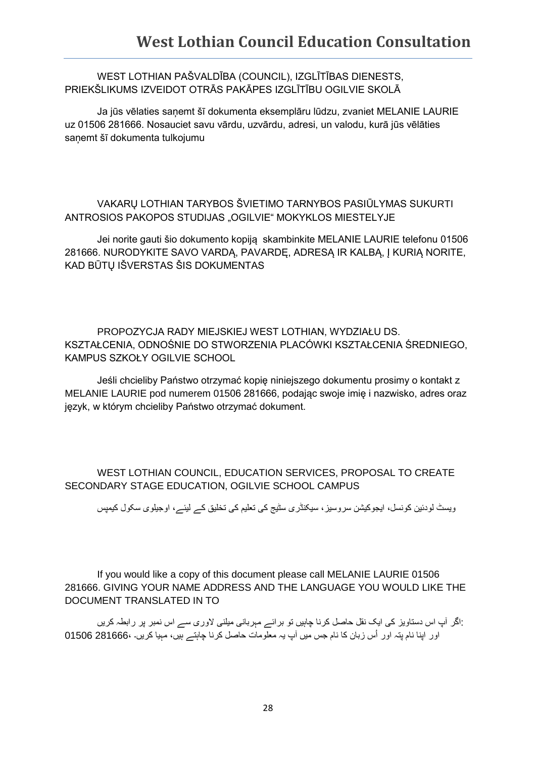### WEST LOTHIAN PAŠVALDĪBA (COUNCIL), IZGLĪTĪBAS DIENESTS, PRIEKŠLIKUMS IZVEIDOT OTRĀS PAKĀPES IZGLĪTĪBU OGILVIE SKOLĀ

Ja jūs vēlaties saņemt šī dokumenta eksemplāru lūdzu, zvaniet MELANIE LAURIE uz 01506 281666. Nosauciet savu vārdu, uzvārdu, adresi, un valodu, kurā jūs vēlāties sanemt šī dokumenta tulkojumu

### VAKARŲ LOTHIAN TARYBOS ŠVIETIMO TARNYBOS PASIŪLYMAS SUKURTI ANTROSIOS PAKOPOS STUDIJAS "OGILVIE" MOKYKLOS MIESTELYJE

Jei norite gauti šio dokumento kopiją skambinkite MELANIE LAURIE telefonu 01506 281666. NURODYKITE SAVO VARDĄ, PAVARDĘ, ADRESĄ IR KALBĄ, Į KURIĄ NORITE, KAD BŪTŲ IŠVERSTAS ŠIS DOKUMENTAS

PROPOZYCJA RADY MIEJSKIEJ WEST LOTHIAN, WYDZIAŁU DS. KSZTAŁCENIA, ODNOŚNIE DO STWORZENIA PLACÓWKI KSZTAŁCENIA ŚREDNIEGO, KAMPUS SZKOŁY OGILVIE SCHOOL

Jeśli chcieliby Państwo otrzymać kopię niniejszego dokumentu prosimy o kontakt z MELANIE LAURIE pod numerem 01506 281666, podając swoje imię i nazwisko, adres oraz język, w którym chcieliby Państwo otrzymać dokument.

### WEST LOTHIAN COUNCIL, EDUCATION SERVICES, PROPOSAL TO CREATE SECONDARY STAGE EDUCATION, OGILVIE SCHOOL CAMPUS

ويسٹ لودئين کونسل، ايجوکيشن سروسيز، سيکنڈری سٹيج کی تعليم کی تخليق کے ليئے، اوجيلوی سکول کيمپس

If you would like a copy of this document please call MELANIE LAURIE 01506 281666. GIVING YOUR NAME ADDRESS AND THE LANGUAGE YOU WOULD LIKE THE DOCUMENT TRANSLATED IN TO

 :اگر آپ اس دستاويز کی ايک نقل حاصل کرنا چاہيں تو برائے مہربانی ميلنی الوری سے اس نمبر پر رابطہ کريں اور اپنا نام پتہ اور اُس زبان کا نام جس ميں آپ يہ معلومات حاصل کرنا چاہتے ہيں، مہيا کريں۔ ،281666 01506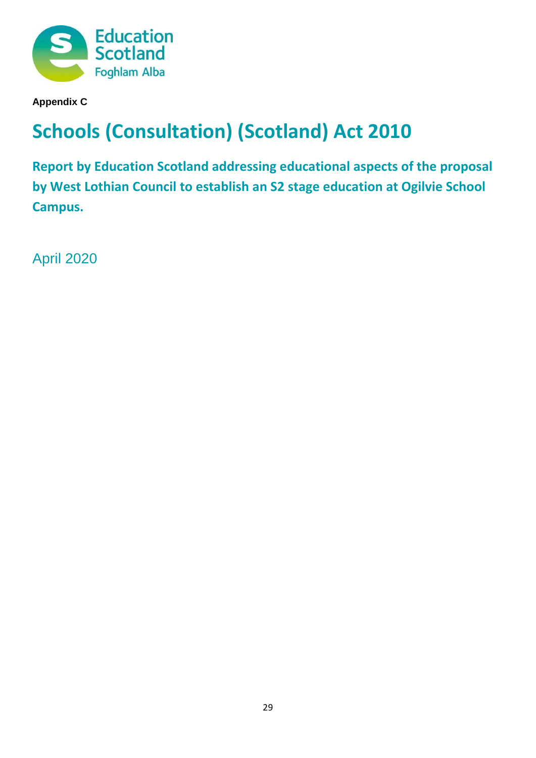

**Appendix C**

# **Schools (Consultation) (Scotland) Act 2010**

**Report by Education Scotland addressing educational aspects of the proposal by West Lothian Council to establish an S2 stage education at Ogilvie School Campus.**

April 2020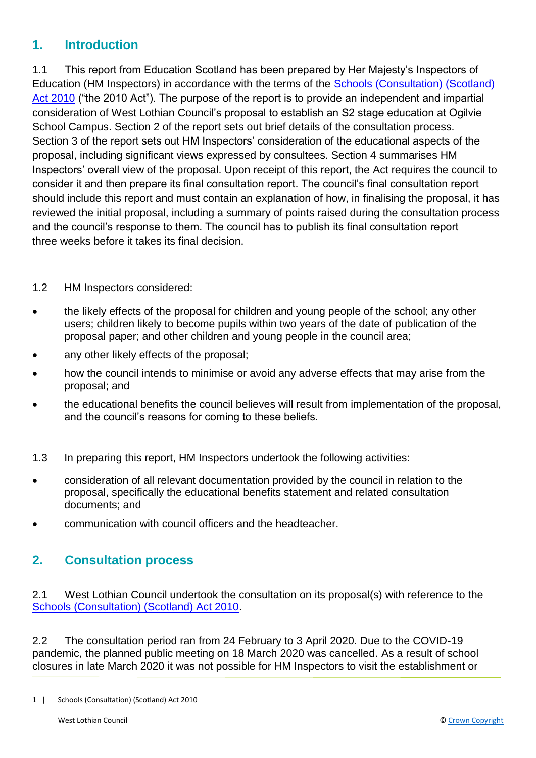# **1. Introduction**

1.1 This report from Education Scotland has been prepared by Her Majesty's Inspectors of Education (HM Inspectors) in accordance with the terms of the [Schools \(Consultation\) \(Scotland\)](https://www.google.co.uk/url?sa=t&rct=j&q=&esrc=s&source=web&cd=1&cad=rja&uact=8&ved=2ahUKEwj9-7GYkvLeAhXOasAKHT9vCtMQFjAAegQICRAB&url=https%3A%2F%2Fwww.legislation.gov.uk%2Fasp%2F2010%2F2%2Fcontents&usg=AOvVaw2lRwXOuXBCn_fz2wA9W6o2)  [Act 2010](https://www.google.co.uk/url?sa=t&rct=j&q=&esrc=s&source=web&cd=1&cad=rja&uact=8&ved=2ahUKEwj9-7GYkvLeAhXOasAKHT9vCtMQFjAAegQICRAB&url=https%3A%2F%2Fwww.legislation.gov.uk%2Fasp%2F2010%2F2%2Fcontents&usg=AOvVaw2lRwXOuXBCn_fz2wA9W6o2) ("the 2010 Act"). The purpose of the report is to provide an independent and impartial consideration of West Lothian Council's proposal to establish an S2 stage education at Ogilvie School Campus. Section 2 of the report sets out brief details of the consultation process. Section 3 of the report sets out HM Inspectors' consideration of the educational aspects of the proposal, including significant views expressed by consultees. Section 4 summarises HM Inspectors' overall view of the proposal. Upon receipt of this report, the Act requires the council to consider it and then prepare its final consultation report. The council's final consultation report should include this report and must contain an explanation of how, in finalising the proposal, it has reviewed the initial proposal, including a summary of points raised during the consultation process and the council's response to them. The council has to publish its final consultation report three weeks before it takes its final decision.

### 1.2 HM Inspectors considered:

- the likely effects of the proposal for children and young people of the school; any other users; children likely to become pupils within two years of the date of publication of the proposal paper; and other children and young people in the council area;
- any other likely effects of the proposal;
- how the council intends to minimise or avoid any adverse effects that may arise from the proposal; and
- the educational benefits the council believes will result from implementation of the proposal, and the council's reasons for coming to these beliefs.
- 1.3 In preparing this report, HM Inspectors undertook the following activities:
- consideration of all relevant documentation provided by the council in relation to the proposal, specifically the educational benefits statement and related consultation documents; and
- communication with council officers and the headteacher.

# **2. Consultation process**

2.1 West Lothian Council undertook the consultation on its proposal(s) with reference to the [Schools \(Consultation\) \(Scotland\) Act 2010.](https://www.google.co.uk/url?sa=t&rct=j&q=&esrc=s&source=web&cd=1&cad=rja&uact=8&ved=2ahUKEwj9-7GYkvLeAhXOasAKHT9vCtMQFjAAegQICRAB&url=https%3A%2F%2Fwww.legislation.gov.uk%2Fasp%2F2010%2F2%2Fcontents&usg=AOvVaw2lRwXOuXBCn_fz2wA9W6o2)

2.2 The consultation period ran from 24 February to 3 April 2020. Due to the COVID-19 pandemic, the planned public meeting on 18 March 2020 was cancelled. As a result of school closures in late March 2020 it was not possible for HM Inspectors to visit the establishment or

<sup>1 |</sup> Schools (Consultation) (Scotland) Act 2010